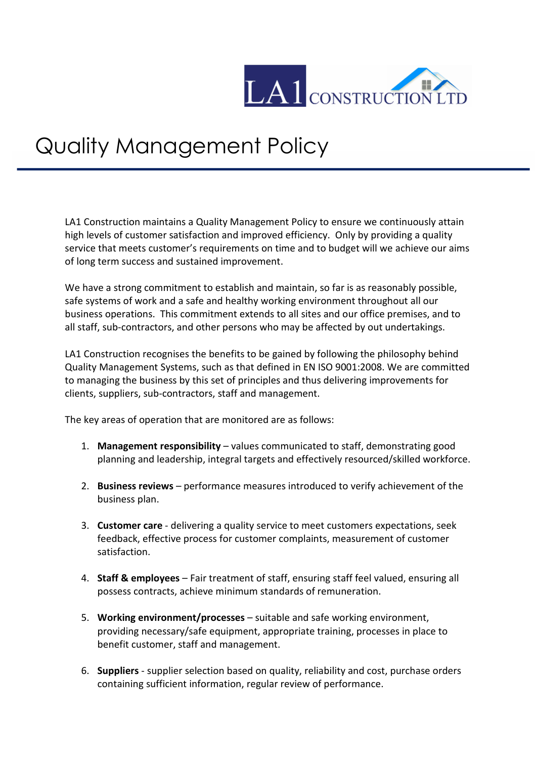

## Quality Management Policy

LA1 Construction maintains a Quality Management Policy to ensure we continuously attain high levels of customer satisfaction and improved efficiency. Only by providing a quality service that meets customer's requirements on time and to budget will we achieve our aims of long term success and sustained improvement.

We have a strong commitment to establish and maintain, so far is as reasonably possible, safe systems of work and a safe and healthy working environment throughout all our business operations. This commitment extends to all sites and our office premises, and to all staff, sub-contractors, and other persons who may be affected by out undertakings.

LA1 Construction recognises the benefits to be gained by following the philosophy behind Quality Management Systems, such as that defined in EN ISO 9001:2008. We are committed to managing the business by this set of principles and thus delivering improvements for clients, suppliers, sub-contractors, staff and management.

The key areas of operation that are monitored are as follows:

- 1. **Management responsibility** values communicated to staff, demonstrating good planning and leadership, integral targets and effectively resourced/skilled workforce.
- 2. **Business reviews** performance measures introduced to verify achievement of the business plan.
- 3. **Customer care** delivering a quality service to meet customers expectations, seek feedback, effective process for customer complaints, measurement of customer satisfaction.
- 4. **Staff & employees** Fair treatment of staff, ensuring staff feel valued, ensuring all possess contracts, achieve minimum standards of remuneration.
- 5. **Working environment/processes** suitable and safe working environment, providing necessary/safe equipment, appropriate training, processes in place to benefit customer, staff and management.
- 6. **Suppliers** supplier selection based on quality, reliability and cost, purchase orders containing sufficient information, regular review of performance.